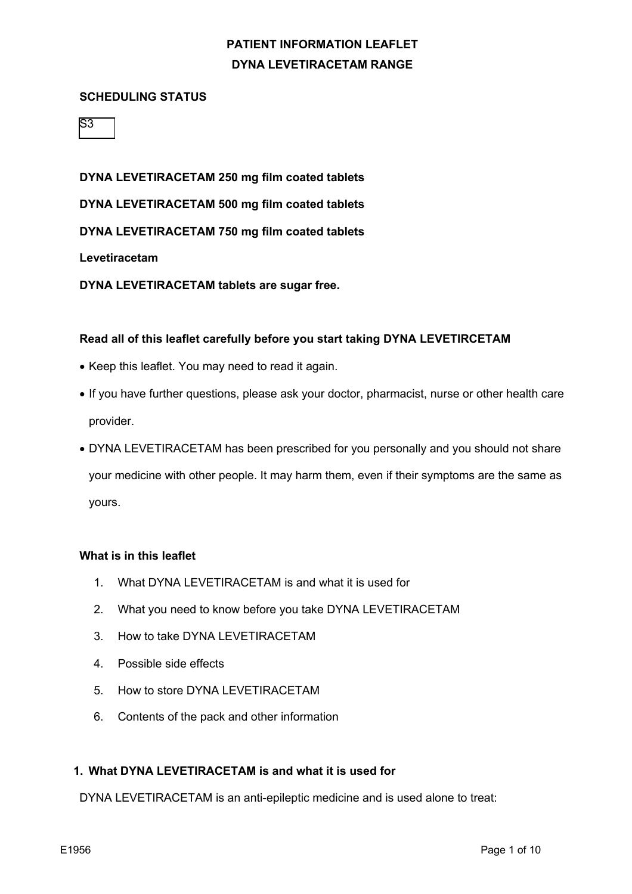#### **SCHEDULING STATUS**

|--|

**DYNA LEVETIRACETAM 250 mg film coated tablets DYNA LEVETIRACETAM 500 mg film coated tablets DYNA LEVETIRACETAM 750 mg film coated tablets Levetiracetam**

**DYNA LEVETIRACETAM tablets are sugar free.**

#### **Read all of this leaflet carefully before you start taking DYNA LEVETIRCETAM**

- Keep this leaflet. You may need to read it again.
- If you have further questions, please ask your doctor, pharmacist, nurse or other health care provider.
- DYNA LEVETIRACETAM has been prescribed for you personally and you should not share your medicine with other people. It may harm them, even if their symptoms are the same as yours.

#### **What is in this leaflet**

- 1. What DYNA LEVETIRACETAM is and what it is used for
- 2. What you need to know before you take DYNA LEVETIRACETAM
- 3. How to take DYNA LEVETIRACETAM
- 4. Possible side effects
- 5. How to store DYNA LEVETIRACETAM
- 6. Contents of the pack and other information

## **1. What DYNA LEVETIRACETAM is and what it is used for**

DYNA LEVETIRACETAM is an anti-epileptic medicine and is used alone to treat: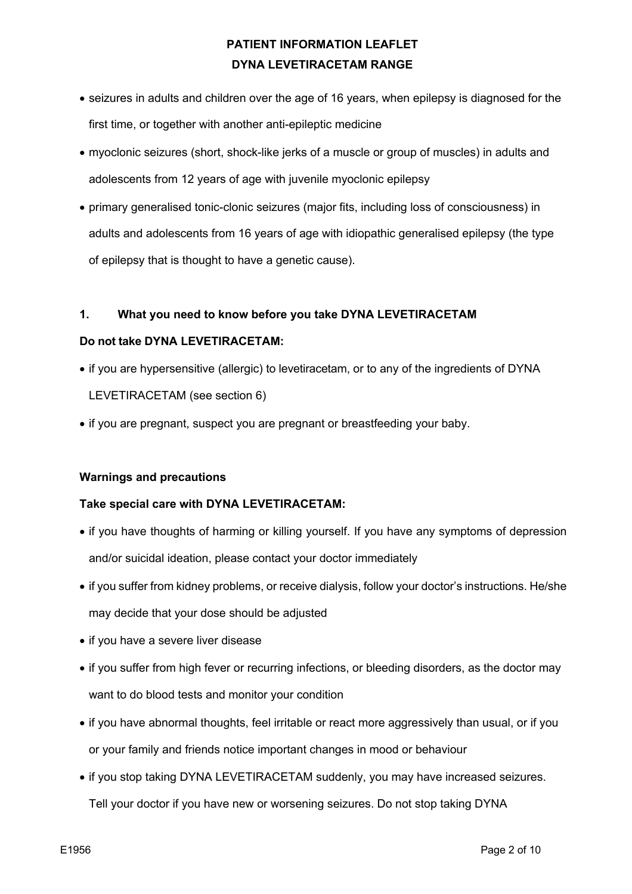- seizures in adults and children over the age of 16 years, when epilepsy is diagnosed for the first time, or together with another anti-epileptic medicine
- myoclonic seizures (short, shock-like jerks of a muscle or group of muscles) in adults and adolescents from 12 years of age with juvenile myoclonic epilepsy
- primary generalised tonic-clonic seizures (major fits, including loss of consciousness) in adults and adolescents from 16 years of age with idiopathic generalised epilepsy (the type of epilepsy that is thought to have a genetic cause).

## **1. What you need to know before you take DYNA LEVETIRACETAM**

#### **Do not take DYNA LEVETIRACETAM:**

- if you are hypersensitive (allergic) to levetiracetam, or to any of the ingredients of DYNA LEVETIRACETAM (see section 6)
- if you are pregnant, suspect you are pregnant or breastfeeding your baby.

#### **Warnings and precautions**

#### **Take special care with DYNA LEVETIRACETAM:**

- if you have thoughts of harming or killing yourself. If you have any symptoms of depression and/or suicidal ideation, please contact your doctor immediately
- if you suffer from kidney problems, or receive dialysis, follow your doctor's instructions. He/she may decide that your dose should be adjusted
- if you have a severe liver disease
- if you suffer from high fever or recurring infections, or bleeding disorders, as the doctor may want to do blood tests and monitor your condition
- if you have abnormal thoughts, feel irritable or react more aggressively than usual, or if you or your family and friends notice important changes in mood or behaviour
- if you stop taking DYNA LEVETIRACETAM suddenly, you may have increased seizures. Tell your doctor if you have new or worsening seizures. Do not stop taking DYNA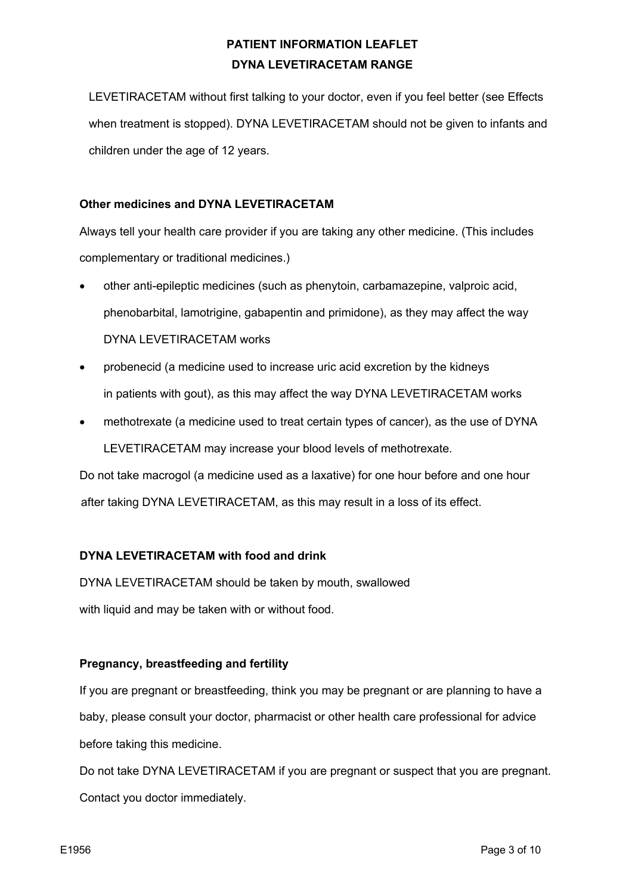LEVETIRACETAM without first talking to your doctor, even if you feel better (see Effects when treatment is stopped). DYNA LEVETIRACETAM should not be given to infants and children under the age of 12 years.

## **Other medicines and DYNA LEVETIRACETAM**

Always tell your health care provider if you are taking any other medicine. (This includes complementary or traditional medicines.)

- other anti-epileptic medicines (such as phenytoin, carbamazepine, valproic acid, phenobarbital, lamotrigine, gabapentin and primidone), as they may affect the way DYNA LEVETIRACETAM works
- probenecid (a medicine used to increase uric acid excretion by the kidneys in patients with gout), as this may affect the way DYNA LEVETIRACETAM works
- methotrexate (a medicine used to treat certain types of cancer), as the use of DYNA LEVETIRACETAM may increase your blood levels of methotrexate.

Do not take macrogol (a medicine used as a laxative) for one hour before and one hour after taking DYNA LEVETIRACETAM, as this may result in a loss of its effect.

## **DYNA LEVETIRACETAM with food and drink**

DYNA LEVETIRACETAM should be taken by mouth, swallowed with liquid and may be taken with or without food.

#### **Pregnancy, breastfeeding and fertility**

If you are pregnant or breastfeeding, think you may be pregnant or are planning to have a baby, please consult your doctor, pharmacist or other health care professional for advice before taking this medicine.

Do not take DYNA LEVETIRACETAM if you are pregnant or suspect that you are pregnant. Contact you doctor immediately.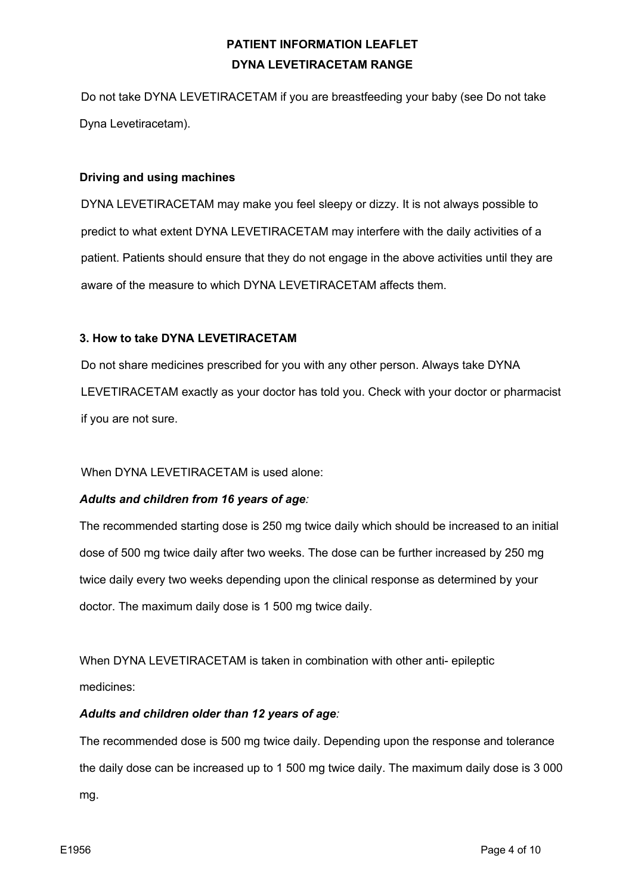Do not take DYNA LEVETIRACETAM if you are breastfeeding your baby (see Do not take Dyna Levetiracetam).

#### **Driving and using machines**

DYNA LEVETIRACETAM may make you feel sleepy or dizzy. It is not always possible to predict to what extent DYNA LEVETIRACETAM may interfere with the daily activities of a patient. Patients should ensure that they do not engage in the above activities until they are aware of the measure to which DYNA LEVETIRACETAM affects them.

## **3. How to take DYNA LEVETIRACETAM**

Do not share medicines prescribed for you with any other person. Always take DYNA LEVETIRACETAM exactly as your doctor has told you. Check with your doctor or pharmacist if you are not sure.

## When DYNA LEVETIRACETAM is used alone:

## *Adults and children from 16 years of age:*

The recommended starting dose is 250 mg twice daily which should be increased to an initial dose of 500 mg twice daily after two weeks. The dose can be further increased by 250 mg twice daily every two weeks depending upon the clinical response as determined by your doctor. The maximum daily dose is 1 500 mg twice daily.

When DYNA LEVETIRACETAM is taken in combination with other anti- epileptic medicines:

## *Adults and children older than 12 years of age:*

The recommended dose is 500 mg twice daily. Depending upon the response and tolerance the daily dose can be increased up to 1 500 mg twice daily. The maximum daily dose is 3 000 mg.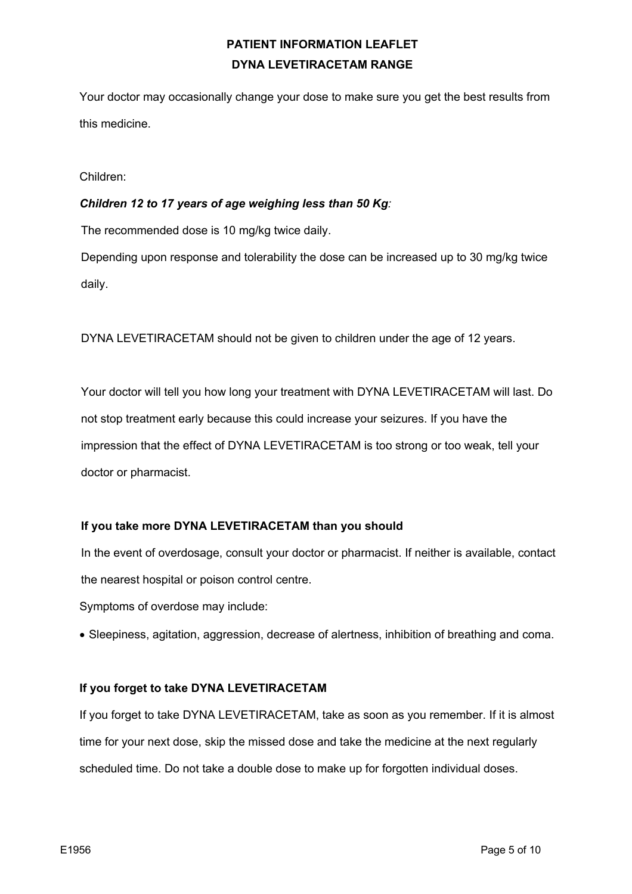Your doctor may occasionally change your dose to make sure you get the best results from this medicine.

Children:

#### *Children 12 to 17 years of age weighing less than 50 Kg:*

The recommended dose is 10 mg/kg twice daily.

Depending upon response and tolerability the dose can be increased up to 30 mg/kg twice daily.

DYNA LEVETIRACETAM should not be given to children under the age of 12 years.

Your doctor will tell you how long your treatment with DYNA LEVETIRACETAM will last. Do not stop treatment early because this could increase your seizures. If you have the impression that the effect of DYNA LEVETIRACETAM is too strong or too weak, tell your doctor or pharmacist.

#### **If you take more DYNA LEVETIRACETAM than you should**

In the event of overdosage, consult your doctor or pharmacist. If neither is available, contact the nearest hospital or poison control centre.

Symptoms of overdose may include:

• Sleepiness, agitation, aggression, decrease of alertness, inhibition of breathing and coma.

#### **If you forget to take DYNA LEVETIRACETAM**

If you forget to take DYNA LEVETIRACETAM, take as soon as you remember. If it is almost time for your next dose, skip the missed dose and take the medicine at the next regularly scheduled time. Do not take a double dose to make up for forgotten individual doses.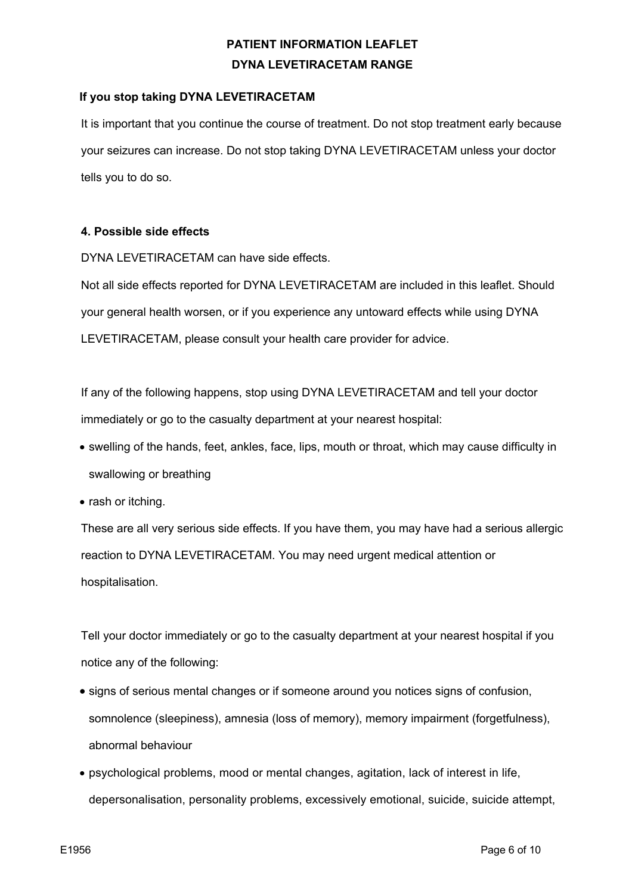## **If you stop taking DYNA LEVETIRACETAM**

It is important that you continue the course of treatment. Do not stop treatment early because your seizures can increase. Do not stop taking DYNA LEVETIRACETAM unless your doctor tells you to do so.

#### **4. Possible side effects**

DYNA LEVETIRACETAM can have side effects.

Not all side effects reported for DYNA LEVETIRACETAM are included in this leaflet. Should your general health worsen, or if you experience any untoward effects while using DYNA LEVETIRACETAM, please consult your health care provider for advice.

If any of the following happens, stop using DYNA LEVETIRACETAM and tell your doctor immediately or go to the casualty department at your nearest hospital:

- swelling of the hands, feet, ankles, face, lips, mouth or throat, which may cause difficulty in swallowing or breathing
- rash or itching.

These are all very serious side effects. If you have them, you may have had a serious allergic reaction to DYNA LEVETIRACETAM. You may need urgent medical attention or hospitalisation.

Tell your doctor immediately or go to the casualty department at your nearest hospital if you notice any of the following:

- signs of serious mental changes or if someone around you notices signs of confusion, somnolence (sleepiness), amnesia (loss of memory), memory impairment (forgetfulness), abnormal behaviour
- psychological problems, mood or mental changes, agitation, lack of interest in life, depersonalisation, personality problems, excessively emotional, suicide, suicide attempt,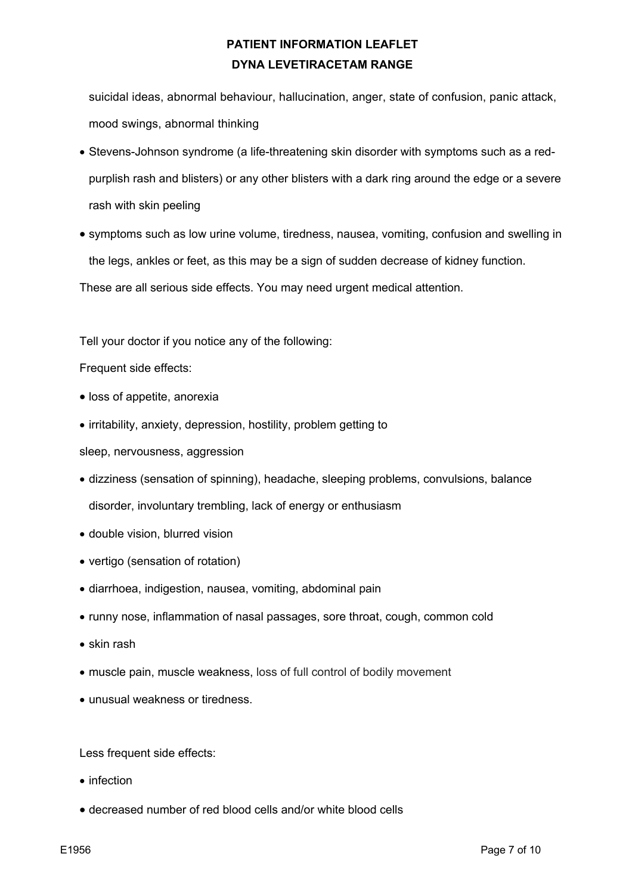suicidal ideas, abnormal behaviour, hallucination, anger, state of confusion, panic attack, mood swings, abnormal thinking

- Stevens-Johnson syndrome (a life-threatening skin disorder with symptoms such as a redpurplish rash and blisters) or any other blisters with a dark ring around the edge or a severe rash with skin peeling
- symptoms such as low urine volume, tiredness, nausea, vomiting, confusion and swelling in the legs, ankles or feet, as this may be a sign of sudden decrease of kidney function.

These are all serious side effects. You may need urgent medical attention.

Tell your doctor if you notice any of the following:

Frequent side effects:

- loss of appetite, anorexia
- irritability, anxiety, depression, hostility, problem getting to
- sleep, nervousness, aggression
- dizziness (sensation of spinning), headache, sleeping problems, convulsions, balance disorder, involuntary trembling, lack of energy or enthusiasm
- double vision, blurred vision
- vertigo (sensation of rotation)
- diarrhoea, indigestion, nausea, vomiting, abdominal pain
- runny nose, inflammation of nasal passages, sore throat, cough, common cold
- skin rash
- muscle pain, muscle weakness, loss of full control of bodily movement
- unusual weakness or tiredness.

Less frequent side effects:

- infection
- decreased number of red blood cells and/or white blood cells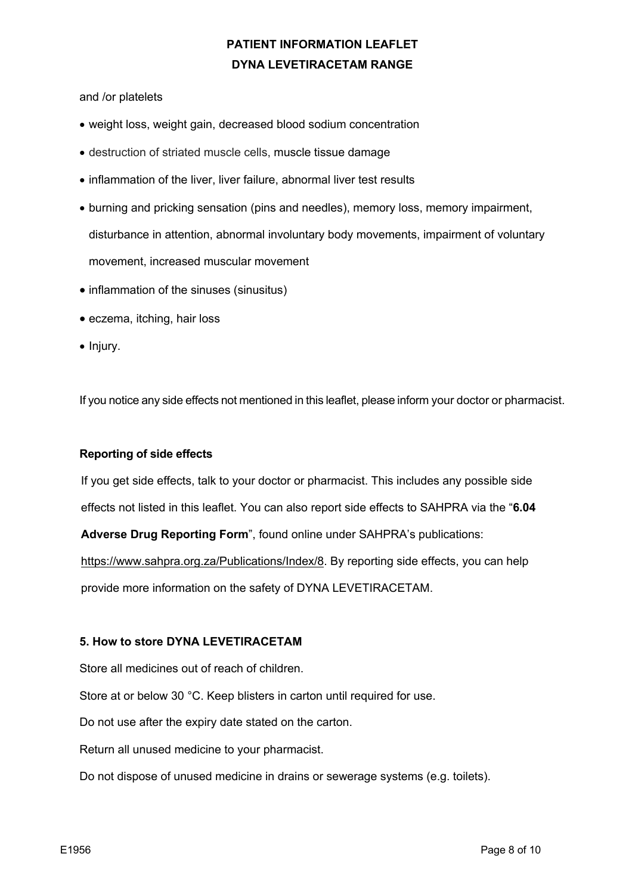and /or platelets

- weight loss, weight gain, decreased blood sodium concentration
- destruction of striated muscle cells, muscle tissue damage
- inflammation of the liver, liver failure, abnormal liver test results
- burning and pricking sensation (pins and needles), memory loss, memory impairment, disturbance in attention, abnormal involuntary body movements, impairment of voluntary movement, increased muscular movement
- inflammation of the sinuses (sinusitus)
- eczema, itching, hair loss
- Injury.

If you notice any side effects not mentioned in this leaflet, please inform your doctor or pharmacist.

#### **Reporting of side effects**

If you get side effects, talk to your doctor or pharmacist. This includes any possible side effects not listed in this leaflet. You can also report side effects to SAHPRA via the "**6.04 Adverse Drug Reporting Form**", found online under SAHPRA's publications:

https://www.sahpra.org.za/Publications/Index/8. By reporting side effects, you can help provide more information on the safety of DYNA LEVETIRACETAM.

#### **5. How to store DYNA LEVETIRACETAM**

Store all medicines out of reach of children.

Store at or below 30 °C. Keep blisters in carton until required for use.

Do not use after the expiry date stated on the carton.

Return all unused medicine to your pharmacist.

Do not dispose of unused medicine in drains or sewerage systems (e.g. toilets).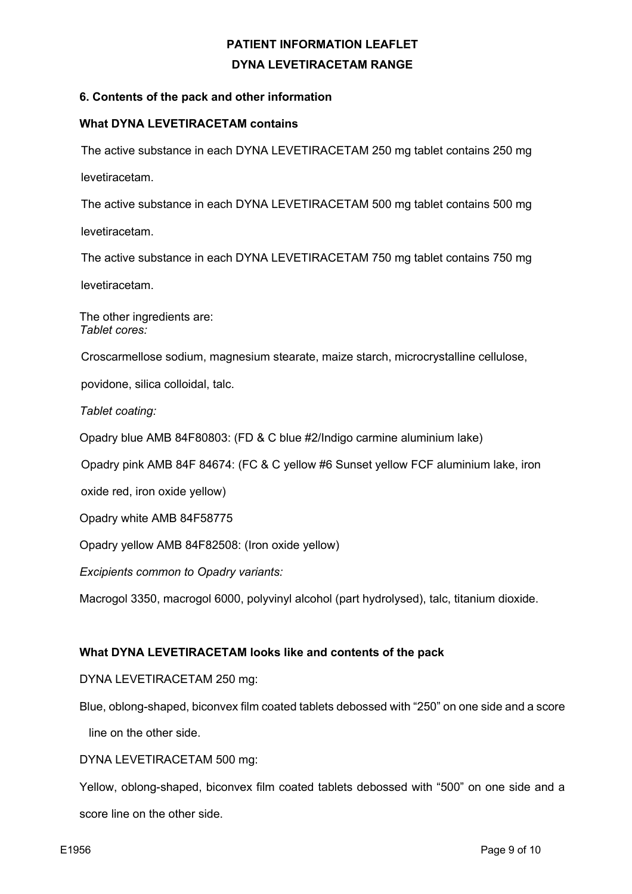## **6. Contents of the pack and other information**

#### **What DYNA LEVETIRACETAM contains**

The active substance in each DYNA LEVETIRACETAM 250 mg tablet contains 250 mg levetiracetam.

The active substance in each DYNA LEVETIRACETAM 500 mg tablet contains 500 mg

levetiracetam.

The active substance in each DYNA LEVETIRACETAM 750 mg tablet contains 750 mg

levetiracetam.

The other ingredients are: *Tablet cores:*

Croscarmellose sodium, magnesium stearate, maize starch, microcrystalline cellulose,

povidone, silica colloidal, talc.

*Tablet coating:*

Opadry blue AMB 84F80803: (FD & C blue #2/Indigo carmine aluminium lake)

Opadry pink AMB 84F 84674: (FC & C yellow #6 Sunset yellow FCF aluminium lake, iron

oxide red, iron oxide yellow)

Opadry white AMB 84F58775

Opadry yellow AMB 84F82508: (Iron oxide yellow)

*Excipients common to Opadry variants:*

Macrogol 3350, macrogol 6000, polyvinyl alcohol (part hydrolysed), talc, titanium dioxide.

#### **What DYNA LEVETIRACETAM looks like and contents of the pack**

DYNA LEVETIRACETAM 250 mg:

Blue, oblong-shaped, biconvex film coated tablets debossed with "250" on one side and a score

line on the other side.

DYNA LEVETIRACETAM 500 mg:

Yellow, oblong-shaped, biconvex film coated tablets debossed with "500" on one side and a score line on the other side.